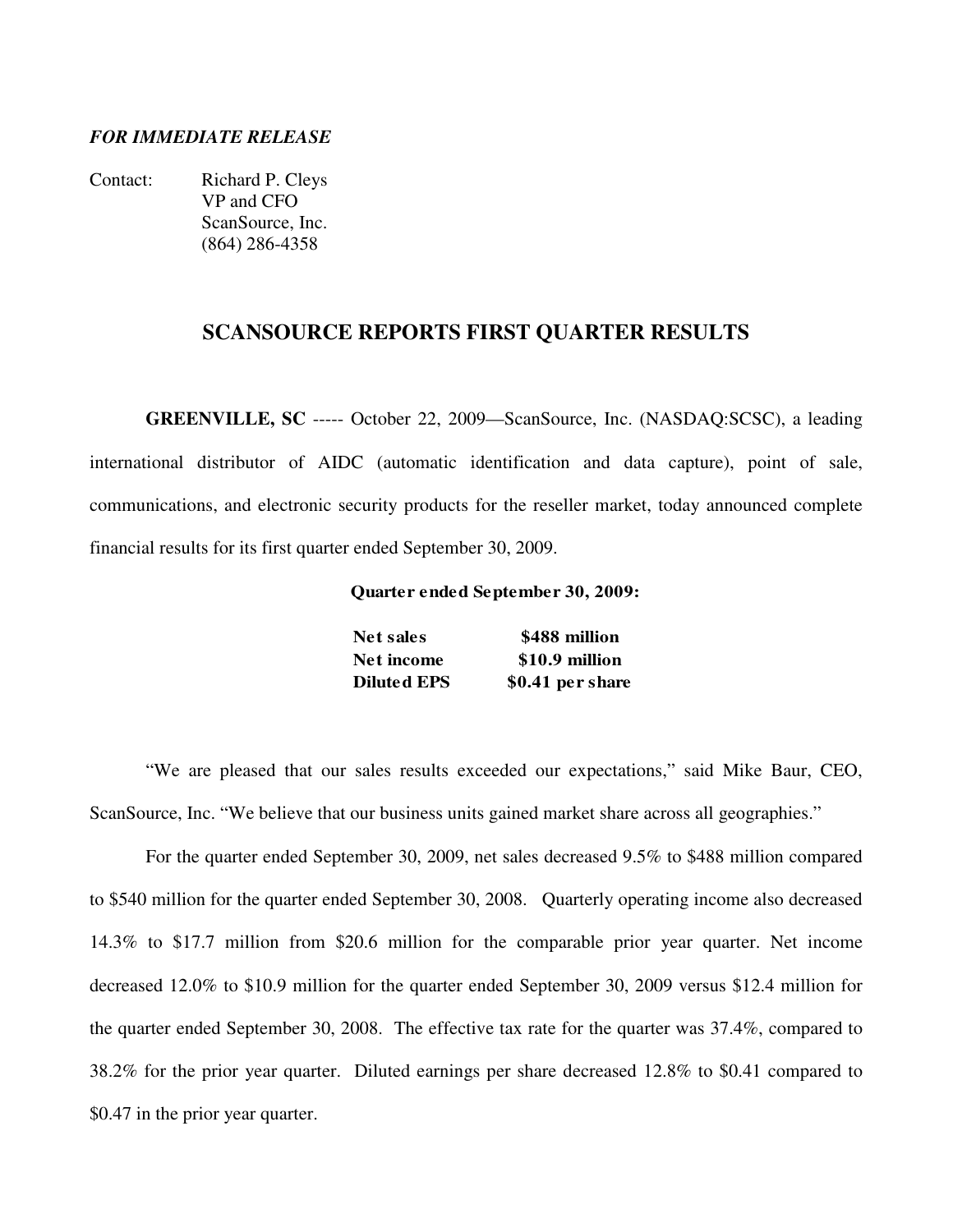#### *FOR IMMEDIATE RELEASE*

Contact: Richard P. Cleys VP and CFO ScanSource, Inc. (864) 286-4358

### **SCANSOURCE REPORTS FIRST QUARTER RESULTS**

**GREENVILLE, SC** ----- October 22, 2009—ScanSource, Inc. (NASDAQ:SCSC), a leading international distributor of AIDC (automatic identification and data capture), point of sale, communications, and electronic security products for the reseller market, today announced complete financial results for its first quarter ended September 30, 2009.

**Quarter ended September 30, 2009:**

| <b>Net sales</b>   | \$488 million    |
|--------------------|------------------|
| Net income         | \$10.9 million   |
| <b>Diluted EPS</b> | \$0.41 per share |

"We are pleased that our sales results exceeded our expectations," said Mike Baur, CEO, ScanSource, Inc. "We believe that our business units gained market share across all geographies."

 For the quarter ended September 30, 2009, net sales decreased 9.5% to \$488 million compared to \$540 million for the quarter ended September 30, 2008. Quarterly operating income also decreased 14.3% to \$17.7 million from \$20.6 million for the comparable prior year quarter. Net income decreased 12.0% to \$10.9 million for the quarter ended September 30, 2009 versus \$12.4 million for the quarter ended September 30, 2008. The effective tax rate for the quarter was 37.4%, compared to 38.2% for the prior year quarter. Diluted earnings per share decreased 12.8% to \$0.41 compared to \$0.47 in the prior year quarter.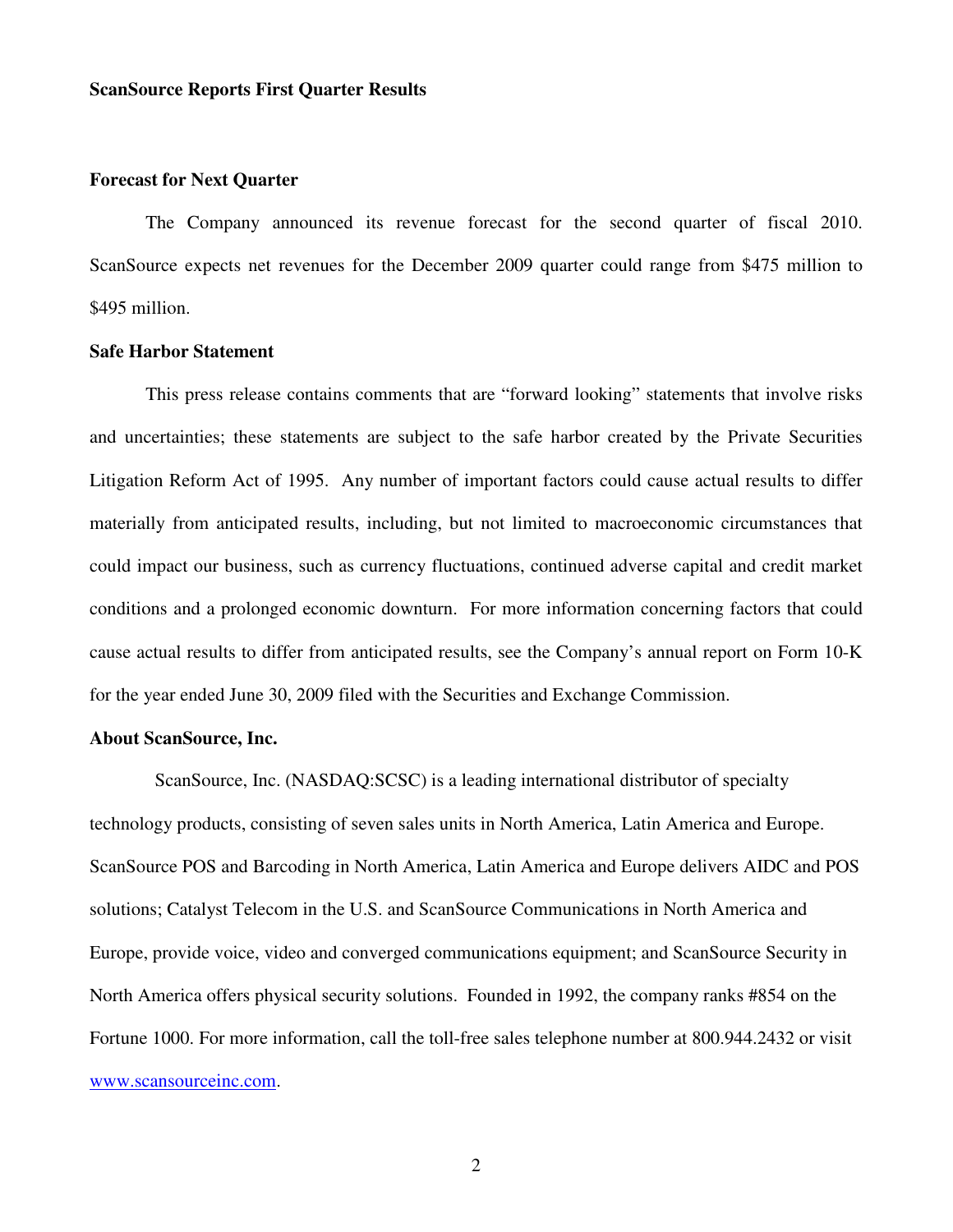#### **ScanSource Reports First Quarter Results**

#### **Forecast for Next Quarter**

 The Company announced its revenue forecast for the second quarter of fiscal 2010. ScanSource expects net revenues for the December 2009 quarter could range from \$475 million to \$495 million.

#### **Safe Harbor Statement**

 This press release contains comments that are "forward looking" statements that involve risks and uncertainties; these statements are subject to the safe harbor created by the Private Securities Litigation Reform Act of 1995. Any number of important factors could cause actual results to differ materially from anticipated results, including, but not limited to macroeconomic circumstances that could impact our business, such as currency fluctuations, continued adverse capital and credit market conditions and a prolonged economic downturn. For more information concerning factors that could cause actual results to differ from anticipated results, see the Company's annual report on Form 10-K for the year ended June 30, 2009 filed with the Securities and Exchange Commission.

#### **About ScanSource, Inc.**

 ScanSource, Inc. (NASDAQ:SCSC) is a leading international distributor of specialty technology products, consisting of seven sales units in North America, Latin America and Europe. ScanSource POS and Barcoding in North America, Latin America and Europe delivers AIDC and POS solutions; Catalyst Telecom in the U.S. and ScanSource Communications in North America and Europe, provide voice, video and converged communications equipment; and ScanSource Security in North America offers physical security solutions. Founded in 1992, the company ranks #854 on the Fortune 1000. For more information, call the toll-free sales telephone number at 800.944.2432 or visit www.scansourceinc.com.

2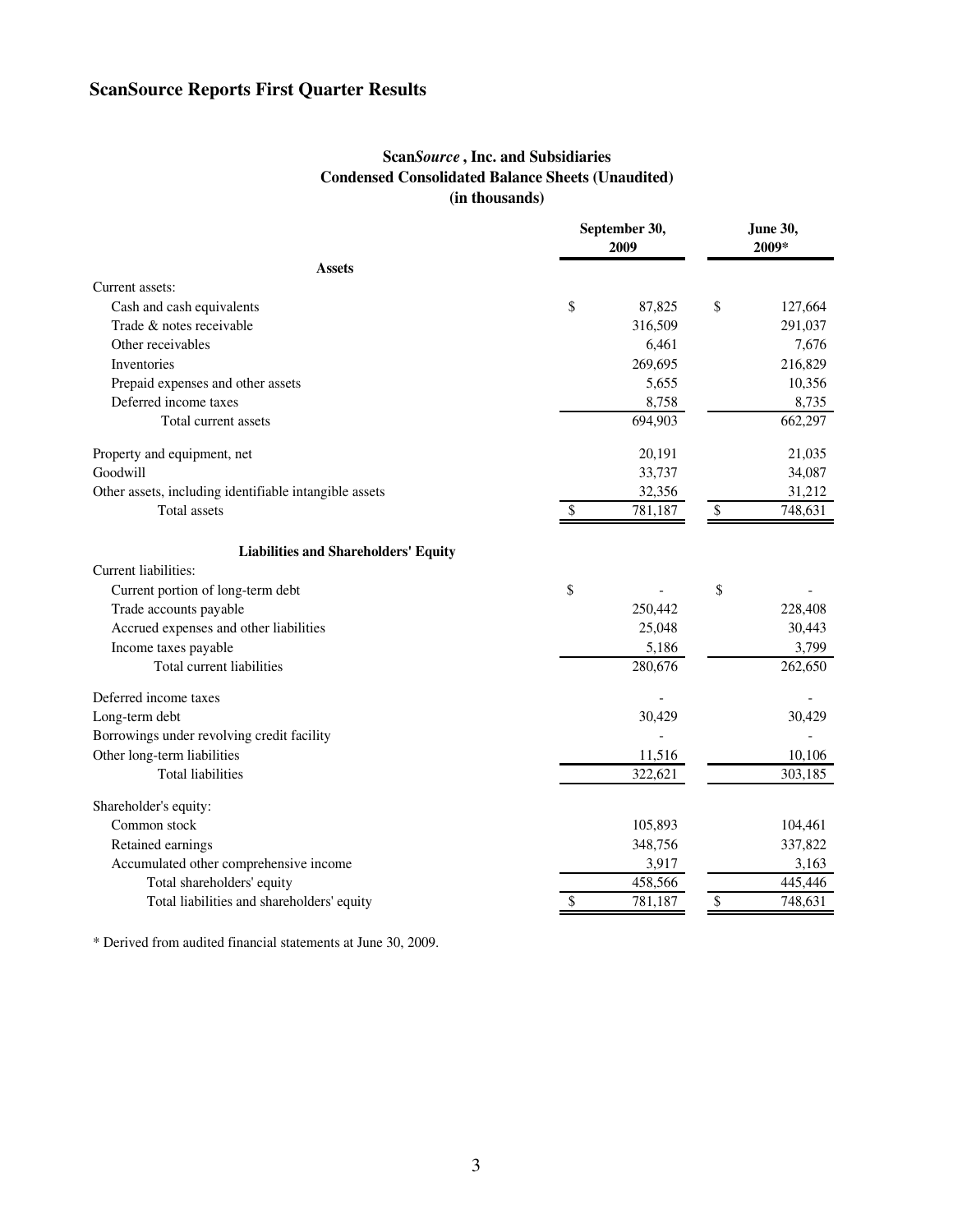# **ScanSource Reports First Quarter Results**

### **Scan***Source* **, Inc. and Subsidiaries Condensed Consolidated Balance Sheets (Unaudited) (in thousands)**

|                                                        | September 30,<br>2009 |         | <b>June 30,</b><br>2009* |         |
|--------------------------------------------------------|-----------------------|---------|--------------------------|---------|
| Assets                                                 |                       |         |                          |         |
| Current assets:                                        |                       |         |                          |         |
| Cash and cash equivalents                              | \$                    | 87,825  | \$                       | 127,664 |
| Trade & notes receivable                               |                       | 316,509 |                          | 291,037 |
| Other receivables                                      |                       | 6,461   |                          | 7,676   |
| Inventories                                            |                       | 269,695 |                          | 216,829 |
| Prepaid expenses and other assets                      |                       | 5,655   |                          | 10,356  |
| Deferred income taxes                                  |                       | 8,758   |                          | 8,735   |
| Total current assets                                   |                       | 694,903 |                          | 662,297 |
| Property and equipment, net                            |                       | 20,191  |                          | 21,035  |
| Goodwill                                               |                       | 33,737  |                          | 34,087  |
| Other assets, including identifiable intangible assets |                       | 32,356  |                          | 31,212  |
| Total assets                                           | \$                    | 781,187 | \$                       | 748,631 |
| <b>Liabilities and Shareholders' Equity</b>            |                       |         |                          |         |
| Current liabilities:                                   |                       |         |                          |         |
| Current portion of long-term debt                      | \$                    |         | \$                       |         |
| Trade accounts payable                                 |                       | 250,442 |                          | 228,408 |
| Accrued expenses and other liabilities                 |                       | 25,048  |                          | 30,443  |
| Income taxes payable                                   |                       | 5,186   |                          | 3,799   |
| Total current liabilities                              |                       | 280,676 |                          | 262,650 |
| Deferred income taxes                                  |                       |         |                          |         |
| Long-term debt                                         |                       | 30,429  |                          | 30,429  |
| Borrowings under revolving credit facility             |                       |         |                          |         |
| Other long-term liabilities                            |                       | 11,516  |                          | 10,106  |
| <b>Total liabilities</b>                               |                       | 322,621 |                          | 303,185 |
| Shareholder's equity:                                  |                       |         |                          |         |
| Common stock                                           |                       | 105,893 |                          | 104,461 |
| Retained earnings                                      |                       | 348,756 |                          | 337,822 |
| Accumulated other comprehensive income                 |                       | 3,917   |                          | 3,163   |
| Total shareholders' equity                             |                       | 458,566 |                          | 445,446 |
| Total liabilities and shareholders' equity             | \$                    | 781,187 | \$                       | 748,631 |

\* Derived from audited financial statements at June 30, 2009.